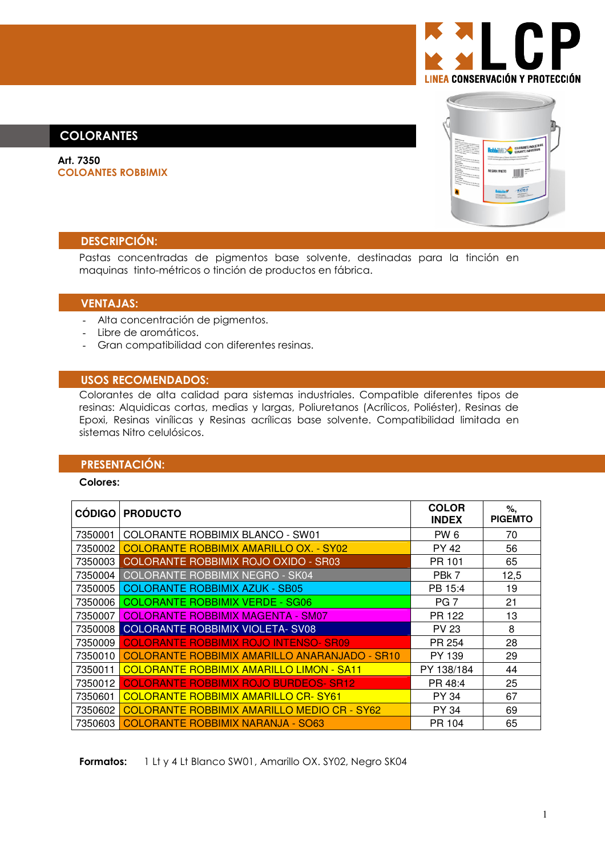

# **COLORANTES**

Art. 7350 **COLOANTES ROBBIMIX** 



### **DESCRIPCIÓN:**

Pastas concentradas de pigmentos base solvente, destinadas para la tinción en maquinas tinto-métricos o tinción de productos en fábrica.

### **VENTAJAS:**

- Alta concentración de pigmentos.
- Libre de aromáticos.
- Gran compatibilidad con diferentes resinas.

### **USOS RECOMENDADOS:**

Colorantes de alta calidad para sistemas industriales. Compatible diferentes tipos de resinas: Alquidicas cortas, medias y largas, Poliuretanos (Acrílicos, Poliéster), Resinas de Epoxi, Resinas vinílicas y Resinas acrílicas base solvente. Compatibilidad limitada en sistemas Nitro celulósicos.

### **PRESENTACIÓN:**

#### **Colores:**

|         | <b>CÓDIGO   PRODUCTO</b>                        | <b>COLOR</b><br><b>INDEX</b> | %,<br><b>PIGEMTO</b> |
|---------|-------------------------------------------------|------------------------------|----------------------|
| 7350001 | COLORANTE ROBBIMIX BLANCO - SW01                | PW 6                         | 70                   |
| 7350002 | COLORANTE ROBBIMIX AMARILLO OX. - SY02          | PY 42                        | 56                   |
| 7350003 | COLORANTE ROBBIMIX ROJO OXIDO - SR03            | PR 101                       | 65                   |
| 7350004 | COLORANTE ROBBIMIX NEGRO - SK04                 | PBk 7                        | 12,5                 |
| 7350005 | <b>COLORANTE ROBBIMIX AZUK - SB05</b>           | PB 15:4                      | 19                   |
| 7350006 | <b>COLORANTE ROBBIMIX VERDE - SG06</b>          | PG <sub>7</sub>              | 21                   |
| 7350007 | <b>COLORANTE ROBBIMIX MAGENTA - SM07</b>        | PR 122                       | 13                   |
| 7350008 | <b>COLORANTE ROBBIMIX VIOLETA- SV08</b>         | <b>PV 23</b>                 | 8                    |
| 7350009 | <b>COLORANTE ROBBIMIX ROJO INTENSO- SR09</b>    | PR 254                       | 28                   |
| 7350010 | COLORANTE ROBBIMIX AMARILLO ANARANJADO - SR10   | PY 139                       | 29                   |
| 7350011 | <b>COLORANTE ROBBIMIX AMARILLO LIMON - SA11</b> | PY 138/184                   | 44                   |
| 7350012 | <b>COLORANTE ROBBIMIX ROJO BURDEOS- SR12</b>    | PR 48:4                      | 25                   |
| 7350601 | <u>COLORANTE ROBBIMIX AMARILLO CR-SY61</u>      | PY 34                        | 67                   |
| 7350602 | COLORANTE ROBBIMIX AMARILLO MEDIO CR - SY62     | PY 34                        | 69                   |
| 7350603 | COLORANTE ROBBIMIX NARANJA - SO63               | PR 104                       | 65                   |

Formatos: 1 Lt y 4 Lt Blanco SW01, Amarillo OX. SY02, Negro SK04